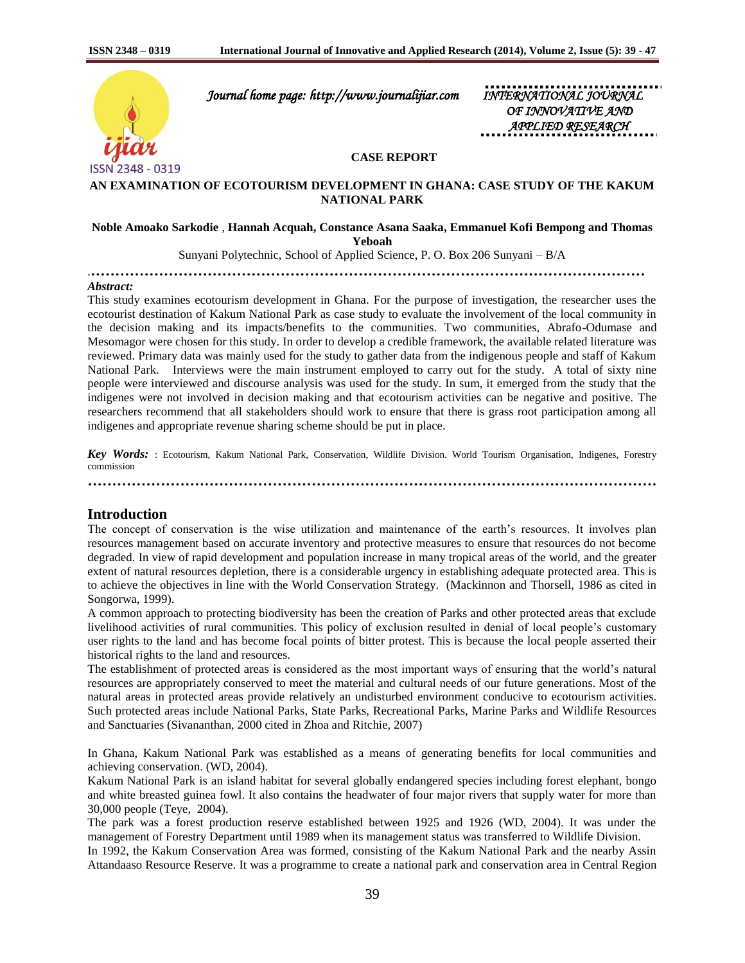

 *Journal home page: http://www.journalijiar.com INTERNATIONAL JOURNAL* 

*<i>OF INNOVATIVE APPLIED RESEARCH* 

# **CASE REPORT**

# **AN EXAMINATION OF ECOTOURISM DEVELOPMENT IN GHANA: CASE STUDY OF THE KAKUM NATIONAL PARK**

# **Noble Amoako Sarkodie** , **Hannah Acquah, Constance Asana Saaka, Emmanuel Kofi Bempong and Thomas**

**Yeboah**

Sunyani Polytechnic, School of Applied Science, P. O. Box 206 Sunyani – B/A

.**……………………………………………………………………………………………………**

#### *Abstract:*

This study examines ecotourism development in Ghana. For the purpose of investigation, the researcher uses the ecotourist destination of Kakum National Park as case study to evaluate the involvement of the local community in the decision making and its impacts/benefits to the communities. Two communities, Abrafo-Odumase and Mesomagor were chosen for this study. In order to develop a credible framework, the available related literature was reviewed. Primary data was mainly used for the study to gather data from the indigenous people and staff of Kakum National Park. Interviews were the main instrument employed to carry out for the study. A total of sixty nine people were interviewed and discourse analysis was used for the study. In sum, it emerged from the study that the indigenes were not involved in decision making and that ecotourism activities can be negative and positive. The researchers recommend that all stakeholders should work to ensure that there is grass root participation among all indigenes and appropriate revenue sharing scheme should be put in place.

*Key Words:* : Ecotourism, Kakum National Park, Conservation, Wildlife Division. World Tourism Organisation, Indigenes, Forestry commission

**………………………………………………………………………………………………………**

# **Introduction**

The concept of conservation is the wise utilization and maintenance of the earth's resources. It involves plan resources management based on accurate inventory and protective measures to ensure that resources do not become degraded. In view of rapid development and population increase in many tropical areas of the world, and the greater extent of natural resources depletion, there is a considerable urgency in establishing adequate protected area. This is to achieve the objectives in line with the World Conservation Strategy. (Mackinnon and Thorsell, 1986 as cited in Songorwa, 1999).

A common approach to protecting biodiversity has been the creation of Parks and other protected areas that exclude livelihood activities of rural communities. This policy of exclusion resulted in denial of local people's customary user rights to the land and has become focal points of bitter protest. This is because the local people asserted their historical rights to the land and resources.

The establishment of protected areas is considered as the most important ways of ensuring that the world's natural resources are appropriately conserved to meet the material and cultural needs of our future generations. Most of the natural areas in protected areas provide relatively an undisturbed environment conducive to ecotourism activities. Such protected areas include National Parks, State Parks, Recreational Parks, Marine Parks and Wildlife Resources and Sanctuaries (Sivananthan, 2000 cited in Zhoa and Ritchie, 2007)

In Ghana, Kakum National Park was established as a means of generating benefits for local communities and achieving conservation. (WD, 2004).

Kakum National Park is an island habitat for several globally endangered species including forest elephant, bongo and white breasted guinea fowl. It also contains the headwater of four major rivers that supply water for more than 30,000 people (Teye, 2004).

The park was a forest production reserve established between 1925 and 1926 (WD, 2004). It was under the management of Forestry Department until 1989 when its management status was transferred to Wildlife Division.

In 1992, the Kakum Conservation Area was formed, consisting of the Kakum National Park and the nearby Assin Attandaaso Resource Reserve. It was a programme to create a national park and conservation area in Central Region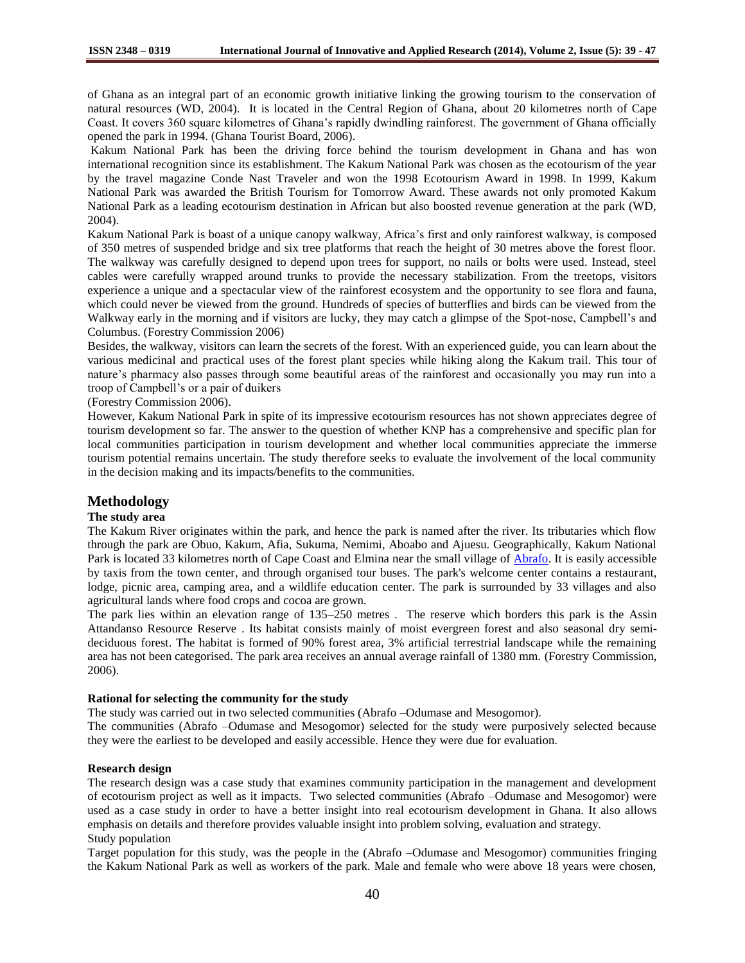of Ghana as an integral part of an economic growth initiative linking the growing tourism to the conservation of natural resources (WD, 2004). It is located in the Central Region of Ghana, about 20 kilometres north of Cape Coast. It covers 360 square kilometres of Ghana's rapidly dwindling rainforest. The government of Ghana officially opened the park in 1994. (Ghana Tourist Board, 2006).

Kakum National Park has been the driving force behind the tourism development in Ghana and has won international recognition since its establishment. The Kakum National Park was chosen as the ecotourism of the year by the travel magazine Conde Nast Traveler and won the 1998 Ecotourism Award in 1998. In 1999, Kakum National Park was awarded the British Tourism for Tomorrow Award. These awards not only promoted Kakum National Park as a leading ecotourism destination in African but also boosted revenue generation at the park (WD, 2004).

Kakum National Park is boast of a unique canopy walkway, Africa's first and only rainforest walkway, is composed of 350 metres of suspended bridge and six tree platforms that reach the height of 30 metres above the forest floor. The walkway was carefully designed to depend upon trees for support, no nails or bolts were used. Instead, steel cables were carefully wrapped around trunks to provide the necessary stabilization. From the treetops, visitors experience a unique and a spectacular view of the rainforest ecosystem and the opportunity to see flora and fauna, which could never be viewed from the ground. Hundreds of species of butterflies and birds can be viewed from the Walkway early in the morning and if visitors are lucky, they may catch a glimpse of the Spot-nose, Campbell's and Columbus. (Forestry Commission 2006)

Besides, the walkway, visitors can learn the secrets of the forest. With an experienced guide, you can learn about the various medicinal and practical uses of the forest plant species while hiking along the Kakum trail. This tour of nature's pharmacy also passes through some beautiful areas of the rainforest and occasionally you may run into a troop of Campbell's or a pair of duikers

(Forestry Commission 2006).

However, Kakum National Park in spite of its impressive ecotourism resources has not shown appreciates degree of tourism development so far. The answer to the question of whether KNP has a comprehensive and specific plan for local communities participation in tourism development and whether local communities appreciate the immerse tourism potential remains uncertain. The study therefore seeks to evaluate the involvement of the local community in the decision making and its impacts/benefits to the communities.

# **Methodology**

# **The study area**

The Kakum River originates within the park, and hence the park is named after the river. Its tributaries which flow through the park are Obuo, Kakum, Afia, Sukuma, Nemimi, Aboabo and Ajuesu. Geographically, Kakum National Park is located 33 kilometres north of Cape Coast and Elmina near the small village of [Abrafo.](http://en.wikipedia.org/wiki/Abrafo) It is easily accessible by taxis from the town center, and through organised tour buses. The park's welcome center contains a restaurant, lodge, picnic area, camping area, and a wildlife education center. The park is surrounded by 33 villages and also agricultural lands where food crops and cocoa are grown.

The park lies within an elevation range of 135–250 metres . The reserve which borders this park is the Assin Attandanso Resource Reserve . Its habitat consists mainly of moist evergreen forest and also seasonal dry semideciduous forest. The habitat is formed of 90% forest area, 3% artificial terrestrial landscape while the remaining area has not been categorised. The park area receives an annual average rainfall of 1380 mm. (Forestry Commission, 2006).

#### **Rational for selecting the community for the study**

The study was carried out in two selected communities (Abrafo –Odumase and Mesogomor).

The communities (Abrafo –Odumase and Mesogomor) selected for the study were purposively selected because they were the earliest to be developed and easily accessible. Hence they were due for evaluation.

### **Research design**

The research design was a case study that examines community participation in the management and development of ecotourism project as well as it impacts. Two selected communities (Abrafo –Odumase and Mesogomor) were used as a case study in order to have a better insight into real ecotourism development in Ghana. It also allows emphasis on details and therefore provides valuable insight into problem solving, evaluation and strategy. Study population

Target population for this study, was the people in the (Abrafo –Odumase and Mesogomor) communities fringing the Kakum National Park as well as workers of the park. Male and female who were above 18 years were chosen,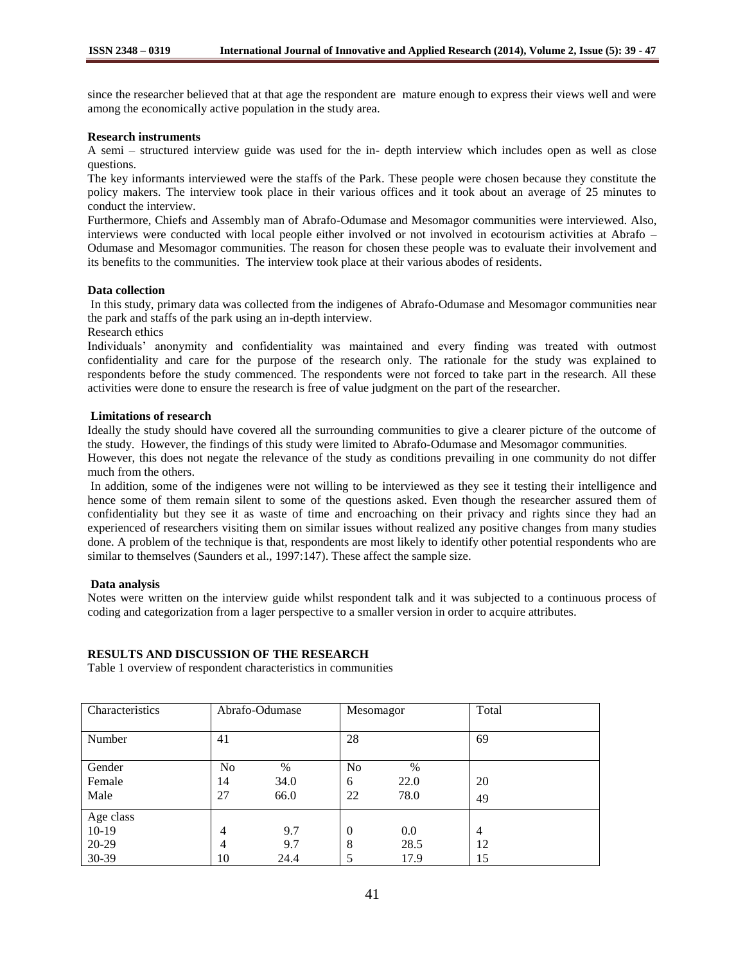since the researcher believed that at that age the respondent are mature enough to express their views well and were among the economically active population in the study area.

#### **Research instruments**

A semi – structured interview guide was used for the in- depth interview which includes open as well as close questions.

The key informants interviewed were the staffs of the Park. These people were chosen because they constitute the policy makers. The interview took place in their various offices and it took about an average of 25 minutes to conduct the interview.

Furthermore, Chiefs and Assembly man of Abrafo-Odumase and Mesomagor communities were interviewed. Also, interviews were conducted with local people either involved or not involved in ecotourism activities at Abrafo – Odumase and Mesomagor communities. The reason for chosen these people was to evaluate their involvement and its benefits to the communities. The interview took place at their various abodes of residents.

#### **Data collection**

In this study, primary data was collected from the indigenes of Abrafo-Odumase and Mesomagor communities near the park and staffs of the park using an in-depth interview.

Research ethics

Individuals' anonymity and confidentiality was maintained and every finding was treated with outmost confidentiality and care for the purpose of the research only. The rationale for the study was explained to respondents before the study commenced. The respondents were not forced to take part in the research. All these activities were done to ensure the research is free of value judgment on the part of the researcher.

#### **Limitations of research**

Ideally the study should have covered all the surrounding communities to give a clearer picture of the outcome of the study. However, the findings of this study were limited to Abrafo-Odumase and Mesomagor communities.

However, this does not negate the relevance of the study as conditions prevailing in one community do not differ much from the others.

In addition, some of the indigenes were not willing to be interviewed as they see it testing their intelligence and hence some of them remain silent to some of the questions asked. Even though the researcher assured them of confidentiality but they see it as waste of time and encroaching on their privacy and rights since they had an experienced of researchers visiting them on similar issues without realized any positive changes from many studies done. A problem of the technique is that, respondents are most likely to identify other potential respondents who are similar to themselves (Saunders et al., 1997:147). These affect the sample size.

#### **Data analysis**

Notes were written on the interview guide whilst respondent talk and it was subjected to a continuous process of coding and categorization from a lager perspective to a smaller version in order to acquire attributes.

#### **RESULTS AND DISCUSSION OF THE RESEARCH**

Table 1 overview of respondent characteristics in communities

| Characteristics | Abrafo-Odumase |      | Mesomagor |      | Total          |
|-----------------|----------------|------|-----------|------|----------------|
|                 |                |      |           |      |                |
| Number          | 41             |      | 28        |      | 69             |
|                 |                |      |           |      |                |
| Gender          | No             | $\%$ | No        | %    |                |
| Female          | 14             | 34.0 | 6         | 22.0 | 20             |
| Male            | 27             | 66.0 | 22        | 78.0 | 49             |
| Age class       |                |      |           |      |                |
| $10-19$         | $\overline{4}$ | 9.7  | $\theta$  | 0.0  | $\overline{4}$ |
| 20-29           | 4              | 9.7  | 8         | 28.5 | 12             |
| 30-39           | 10             | 24.4 | 5         | 17.9 | 15             |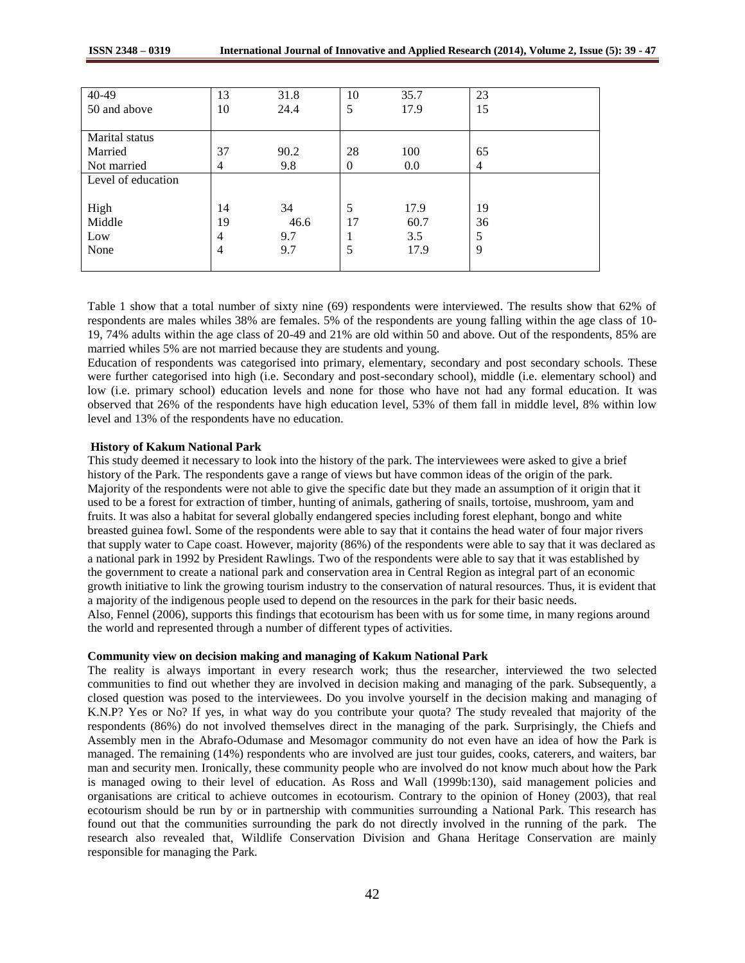| 40-49              | 13 | 31.8 | 10       | 35.7 | 23             |
|--------------------|----|------|----------|------|----------------|
| 50 and above       | 10 | 24.4 | 5        | 17.9 | 15             |
|                    |    |      |          |      |                |
| Marital status     |    |      |          |      |                |
| Married            | 37 | 90.2 | 28       | 100  | 65             |
| Not married        | 4  | 9.8  | $\theta$ | 0.0  | $\overline{4}$ |
| Level of education |    |      |          |      |                |
|                    |    |      |          |      |                |
| High               | 14 | 34   | 5        | 17.9 | 19             |
| Middle             | 19 | 46.6 | 17       | 60.7 | 36             |
| Low                | 4  | 9.7  |          | 3.5  | 5              |
| None               | 4  | 9.7  | 5        | 17.9 | 9              |
|                    |    |      |          |      |                |

Table 1 show that a total number of sixty nine (69) respondents were interviewed. The results show that 62% of respondents are males whiles 38% are females. 5% of the respondents are young falling within the age class of 10- 19, 74% adults within the age class of 20-49 and 21% are old within 50 and above. Out of the respondents, 85% are married whiles 5% are not married because they are students and young.

Education of respondents was categorised into primary, elementary, secondary and post secondary schools. These were further categorised into high (i.e. Secondary and post-secondary school), middle (i.e. elementary school) and low (i.e. primary school) education levels and none for those who have not had any formal education. It was observed that 26% of the respondents have high education level, 53% of them fall in middle level, 8% within low level and 13% of the respondents have no education.

#### **History of Kakum National Park**

This study deemed it necessary to look into the history of the park. The interviewees were asked to give a brief history of the Park. The respondents gave a range of views but have common ideas of the origin of the park. Majority of the respondents were not able to give the specific date but they made an assumption of it origin that it used to be a forest for extraction of timber, hunting of animals, gathering of snails, tortoise, mushroom, yam and fruits. It was also a habitat for several globally endangered species including forest elephant, bongo and white breasted guinea fowl. Some of the respondents were able to say that it contains the head water of four major rivers that supply water to Cape coast. However, majority (86%) of the respondents were able to say that it was declared as a national park in 1992 by President Rawlings. Two of the respondents were able to say that it was established by the government to create a national park and conservation area in Central Region as integral part of an economic growth initiative to link the growing tourism industry to the conservation of natural resources. Thus, it is evident that a majority of the indigenous people used to depend on the resources in the park for their basic needs. Also, Fennel (2006), supports this findings that ecotourism has been with us for some time, in many regions around the world and represented through a number of different types of activities.

#### **Community view on decision making and managing of Kakum National Park**

The reality is always important in every research work; thus the researcher, interviewed the two selected communities to find out whether they are involved in decision making and managing of the park. Subsequently, a closed question was posed to the interviewees. Do you involve yourself in the decision making and managing of K.N.P? Yes or No? If yes, in what way do you contribute your quota? The study revealed that majority of the respondents (86%) do not involved themselves direct in the managing of the park. Surprisingly, the Chiefs and Assembly men in the Abrafo-Odumase and Mesomagor community do not even have an idea of how the Park is managed. The remaining (14%) respondents who are involved are just tour guides, cooks, caterers, and waiters, bar man and security men. Ironically, these community people who are involved do not know much about how the Park is managed owing to their level of education. As Ross and Wall (1999b:130), said management policies and organisations are critical to achieve outcomes in ecotourism. Contrary to the opinion of Honey (2003), that real ecotourism should be run by or in partnership with communities surrounding a National Park. This research has found out that the communities surrounding the park do not directly involved in the running of the park. The research also revealed that, Wildlife Conservation Division and Ghana Heritage Conservation are mainly responsible for managing the Park.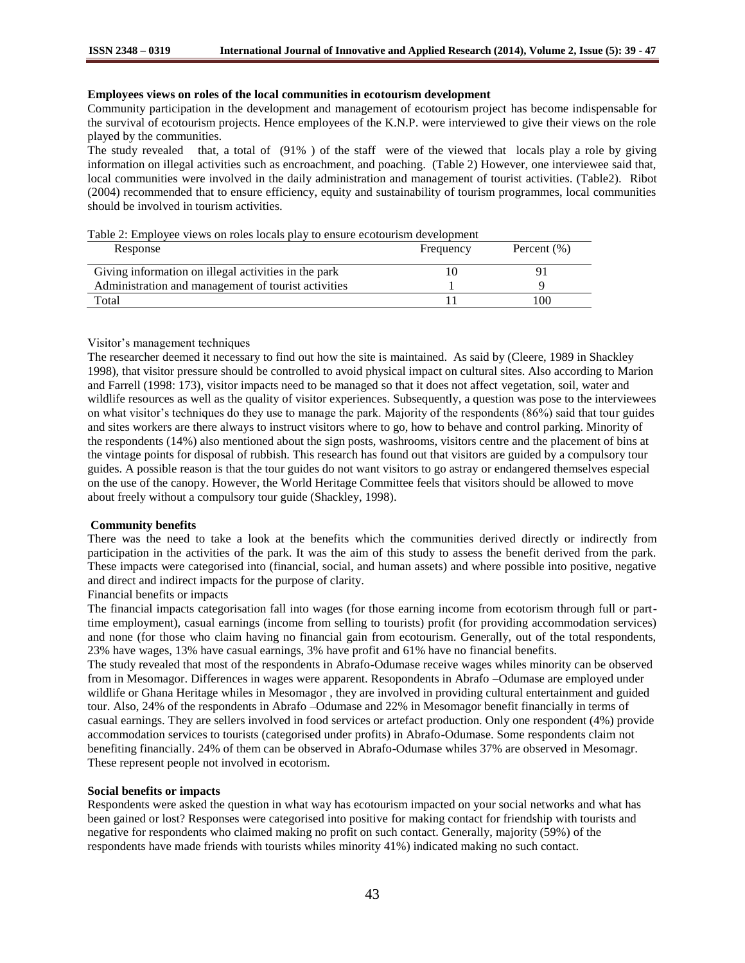# **Employees views on roles of the local communities in ecotourism development**

Community participation in the development and management of ecotourism project has become indispensable for the survival of ecotourism projects. Hence employees of the K.N.P. were interviewed to give their views on the role played by the communities.

The study revealed that, a total of (91% ) of the staff were of the viewed that locals play a role by giving information on illegal activities such as encroachment, and poaching. (Table 2) However, one interviewee said that, local communities were involved in the daily administration and management of tourist activities. (Table2). Ribot (2004) recommended that to ensure efficiency, equity and sustainability of tourism programmes, local communities should be involved in tourism activities.

Table 2: Employee views on roles locals play to ensure ecotourism development

| Response                                             | Frequency | Percent $(\% )$ |
|------------------------------------------------------|-----------|-----------------|
| Giving information on illegal activities in the park |           |                 |
| Administration and management of tourist activities  |           |                 |
| Total                                                |           | -00             |

# Visitor's management techniques

The researcher deemed it necessary to find out how the site is maintained. As said by (Cleere, 1989 in Shackley 1998), that visitor pressure should be controlled to avoid physical impact on cultural sites. Also according to Marion and Farrell (1998: 173), visitor impacts need to be managed so that it does not affect vegetation, soil, water and wildlife resources as well as the quality of visitor experiences. Subsequently, a question was pose to the interviewees on what visitor's techniques do they use to manage the park. Majority of the respondents (86%) said that tour guides and sites workers are there always to instruct visitors where to go, how to behave and control parking. Minority of the respondents (14%) also mentioned about the sign posts, washrooms, visitors centre and the placement of bins at the vintage points for disposal of rubbish. This research has found out that visitors are guided by a compulsory tour guides. A possible reason is that the tour guides do not want visitors to go astray or endangered themselves especial on the use of the canopy. However, the World Heritage Committee feels that visitors should be allowed to move about freely without a compulsory tour guide (Shackley, 1998).

# **Community benefits**

There was the need to take a look at the benefits which the communities derived directly or indirectly from participation in the activities of the park. It was the aim of this study to assess the benefit derived from the park. These impacts were categorised into (financial, social, and human assets) and where possible into positive, negative and direct and indirect impacts for the purpose of clarity.

# Financial benefits or impacts

The financial impacts categorisation fall into wages (for those earning income from ecotorism through full or parttime employment), casual earnings (income from selling to tourists) profit (for providing accommodation services) and none (for those who claim having no financial gain from ecotourism. Generally, out of the total respondents, 23% have wages, 13% have casual earnings, 3% have profit and 61% have no financial benefits.

The study revealed that most of the respondents in Abrafo-Odumase receive wages whiles minority can be observed from in Mesomagor. Differences in wages were apparent. Resopondents in Abrafo –Odumase are employed under wildlife or Ghana Heritage whiles in Mesomagor , they are involved in providing cultural entertainment and guided tour. Also, 24% of the respondents in Abrafo –Odumase and 22% in Mesomagor benefit financially in terms of casual earnings. They are sellers involved in food services or artefact production. Only one respondent (4%) provide accommodation services to tourists (categorised under profits) in Abrafo-Odumase. Some respondents claim not benefiting financially. 24% of them can be observed in Abrafo-Odumase whiles 37% are observed in Mesomagr. These represent people not involved in ecotorism.

#### **Social benefits or impacts**

Respondents were asked the question in what way has ecotourism impacted on your social networks and what has been gained or lost? Responses were categorised into positive for making contact for friendship with tourists and negative for respondents who claimed making no profit on such contact. Generally, majority (59%) of the respondents have made friends with tourists whiles minority 41%) indicated making no such contact.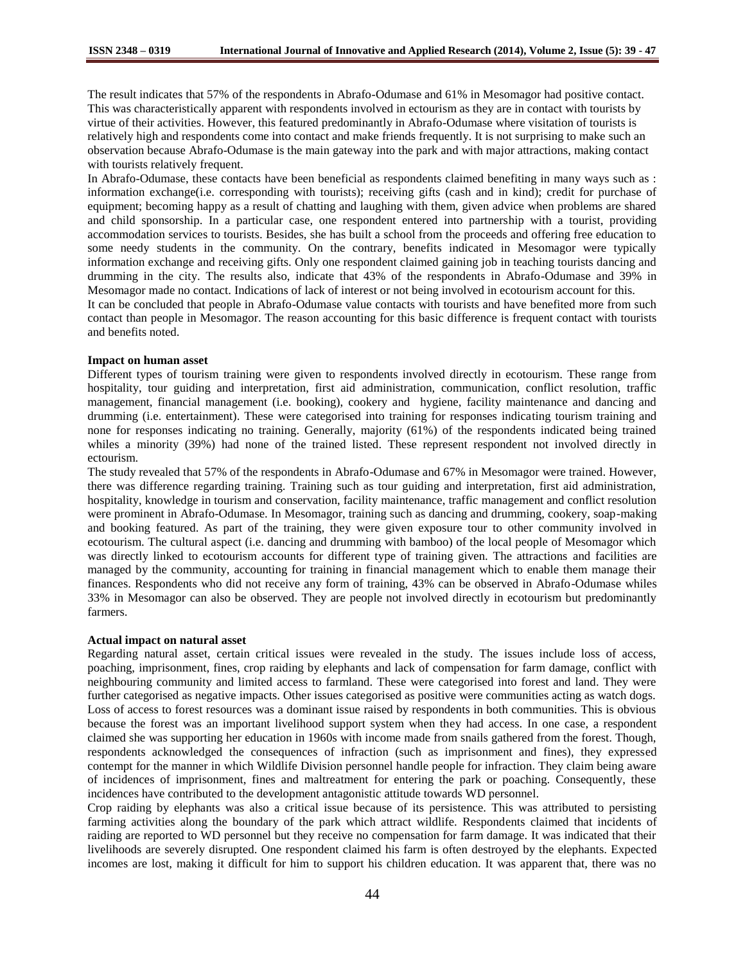The result indicates that 57% of the respondents in Abrafo-Odumase and 61% in Mesomagor had positive contact. This was characteristically apparent with respondents involved in ectourism as they are in contact with tourists by virtue of their activities. However, this featured predominantly in Abrafo-Odumase where visitation of tourists is relatively high and respondents come into contact and make friends frequently. It is not surprising to make such an observation because Abrafo-Odumase is the main gateway into the park and with major attractions, making contact with tourists relatively frequent.

In Abrafo-Odumase, these contacts have been beneficial as respondents claimed benefiting in many ways such as : information exchange(i.e. corresponding with tourists); receiving gifts (cash and in kind); credit for purchase of equipment; becoming happy as a result of chatting and laughing with them, given advice when problems are shared and child sponsorship. In a particular case, one respondent entered into partnership with a tourist, providing accommodation services to tourists. Besides, she has built a school from the proceeds and offering free education to some needy students in the community. On the contrary, benefits indicated in Mesomagor were typically information exchange and receiving gifts. Only one respondent claimed gaining job in teaching tourists dancing and drumming in the city. The results also, indicate that 43% of the respondents in Abrafo-Odumase and 39% in Mesomagor made no contact. Indications of lack of interest or not being involved in ecotourism account for this.

It can be concluded that people in Abrafo-Odumase value contacts with tourists and have benefited more from such contact than people in Mesomagor. The reason accounting for this basic difference is frequent contact with tourists and benefits noted.

# **Impact on human asset**

Different types of tourism training were given to respondents involved directly in ecotourism. These range from hospitality, tour guiding and interpretation, first aid administration, communication, conflict resolution, traffic management, financial management (i.e. booking), cookery and hygiene, facility maintenance and dancing and drumming (i.e. entertainment). These were categorised into training for responses indicating tourism training and none for responses indicating no training. Generally, majority (61%) of the respondents indicated being trained whiles a minority (39%) had none of the trained listed. These represent respondent not involved directly in ectourism.

The study revealed that 57% of the respondents in Abrafo-Odumase and 67% in Mesomagor were trained. However, there was difference regarding training. Training such as tour guiding and interpretation, first aid administration, hospitality, knowledge in tourism and conservation, facility maintenance, traffic management and conflict resolution were prominent in Abrafo-Odumase. In Mesomagor, training such as dancing and drumming, cookery, soap-making and booking featured. As part of the training, they were given exposure tour to other community involved in ecotourism. The cultural aspect (i.e. dancing and drumming with bamboo) of the local people of Mesomagor which was directly linked to ecotourism accounts for different type of training given. The attractions and facilities are managed by the community, accounting for training in financial management which to enable them manage their finances. Respondents who did not receive any form of training, 43% can be observed in Abrafo-Odumase whiles 33% in Mesomagor can also be observed. They are people not involved directly in ecotourism but predominantly farmers.

#### **Actual impact on natural asset**

Regarding natural asset, certain critical issues were revealed in the study. The issues include loss of access, poaching, imprisonment, fines, crop raiding by elephants and lack of compensation for farm damage, conflict with neighbouring community and limited access to farmland. These were categorised into forest and land. They were further categorised as negative impacts. Other issues categorised as positive were communities acting as watch dogs. Loss of access to forest resources was a dominant issue raised by respondents in both communities. This is obvious because the forest was an important livelihood support system when they had access. In one case, a respondent claimed she was supporting her education in 1960s with income made from snails gathered from the forest. Though, respondents acknowledged the consequences of infraction (such as imprisonment and fines), they expressed contempt for the manner in which Wildlife Division personnel handle people for infraction. They claim being aware of incidences of imprisonment, fines and maltreatment for entering the park or poaching. Consequently, these incidences have contributed to the development antagonistic attitude towards WD personnel.

Crop raiding by elephants was also a critical issue because of its persistence. This was attributed to persisting farming activities along the boundary of the park which attract wildlife. Respondents claimed that incidents of raiding are reported to WD personnel but they receive no compensation for farm damage. It was indicated that their livelihoods are severely disrupted. One respondent claimed his farm is often destroyed by the elephants. Expected incomes are lost, making it difficult for him to support his children education. It was apparent that, there was no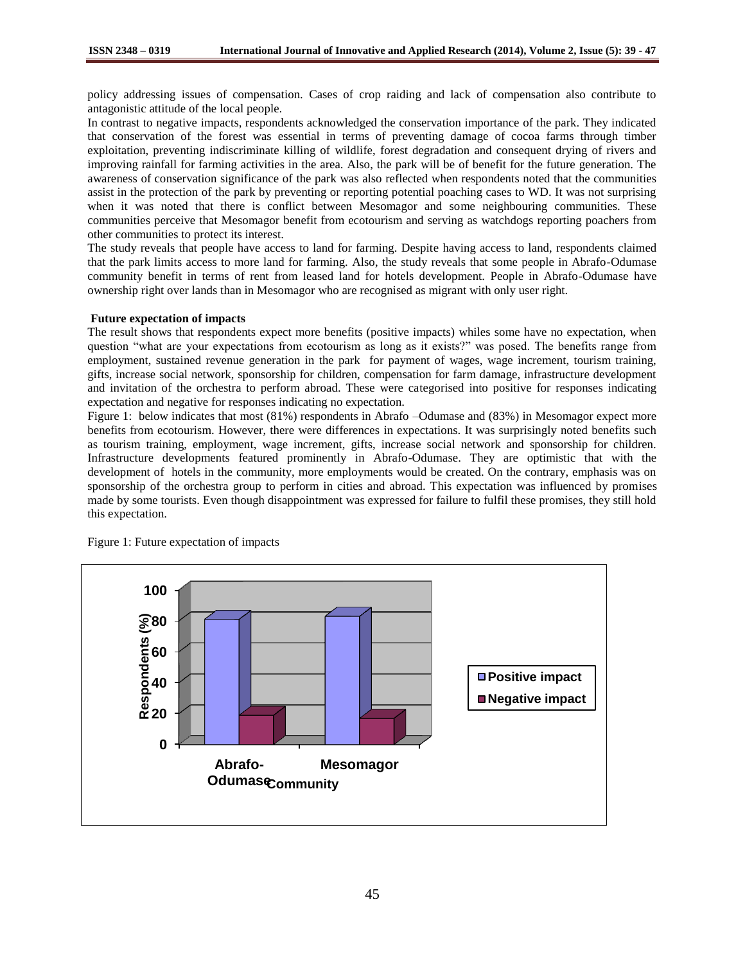policy addressing issues of compensation. Cases of crop raiding and lack of compensation also contribute to antagonistic attitude of the local people.

In contrast to negative impacts, respondents acknowledged the conservation importance of the park. They indicated that conservation of the forest was essential in terms of preventing damage of cocoa farms through timber exploitation, preventing indiscriminate killing of wildlife, forest degradation and consequent drying of rivers and improving rainfall for farming activities in the area. Also, the park will be of benefit for the future generation. The awareness of conservation significance of the park was also reflected when respondents noted that the communities assist in the protection of the park by preventing or reporting potential poaching cases to WD. It was not surprising when it was noted that there is conflict between Mesomagor and some neighbouring communities. These communities perceive that Mesomagor benefit from ecotourism and serving as watchdogs reporting poachers from other communities to protect its interest.

The study reveals that people have access to land for farming. Despite having access to land, respondents claimed that the park limits access to more land for farming. Also, the study reveals that some people in Abrafo-Odumase community benefit in terms of rent from leased land for hotels development. People in Abrafo-Odumase have ownership right over lands than in Mesomagor who are recognised as migrant with only user right.

#### **Future expectation of impacts**

The result shows that respondents expect more benefits (positive impacts) whiles some have no expectation, when question "what are your expectations from ecotourism as long as it exists?" was posed. The benefits range from employment, sustained revenue generation in the park for payment of wages, wage increment, tourism training, gifts, increase social network, sponsorship for children, compensation for farm damage, infrastructure development and invitation of the orchestra to perform abroad. These were categorised into positive for responses indicating expectation and negative for responses indicating no expectation.

Figure 1: below indicates that most (81%) respondents in Abrafo –Odumase and (83%) in Mesomagor expect more benefits from ecotourism. However, there were differences in expectations. It was surprisingly noted benefits such as tourism training, employment, wage increment, gifts, increase social network and sponsorship for children. Infrastructure developments featured prominently in Abrafo-Odumase. They are optimistic that with the development of hotels in the community, more employments would be created. On the contrary, emphasis was on sponsorship of the orchestra group to perform in cities and abroad. This expectation was influenced by promises made by some tourists. Even though disappointment was expressed for failure to fulfil these promises, they still hold this expectation.



Figure 1: Future expectation of impacts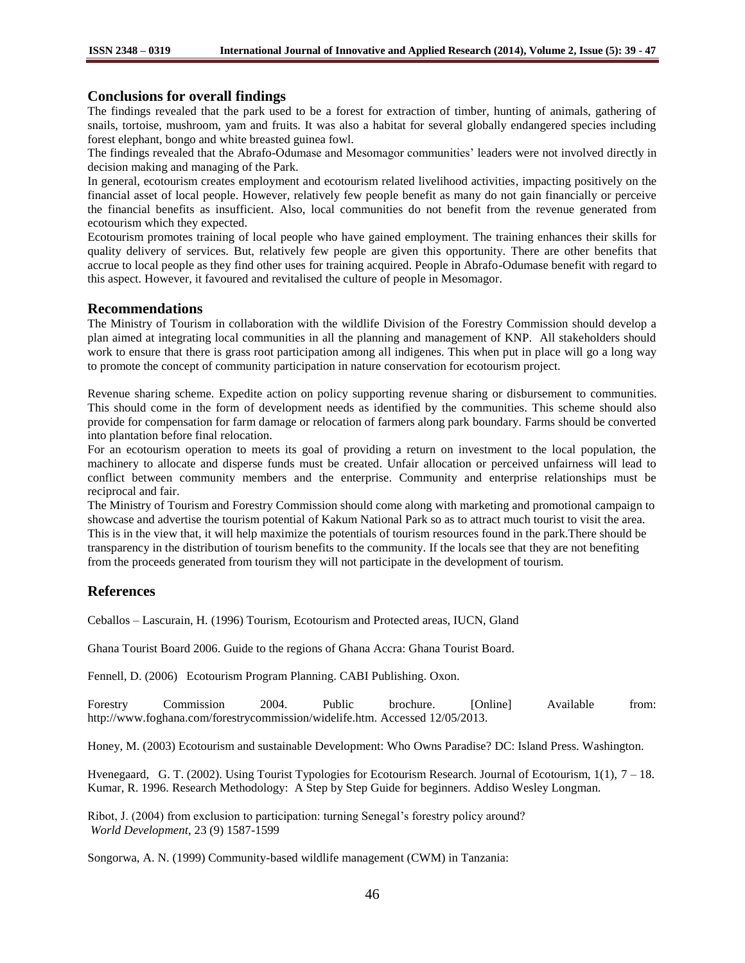# **Conclusions for overall findings**

The findings revealed that the park used to be a forest for extraction of timber, hunting of animals, gathering of snails, tortoise, mushroom, yam and fruits. It was also a habitat for several globally endangered species including forest elephant, bongo and white breasted guinea fowl.

The findings revealed that the Abrafo-Odumase and Mesomagor communities' leaders were not involved directly in decision making and managing of the Park.

In general, ecotourism creates employment and ecotourism related livelihood activities, impacting positively on the financial asset of local people. However, relatively few people benefit as many do not gain financially or perceive the financial benefits as insufficient. Also, local communities do not benefit from the revenue generated from ecotourism which they expected.

Ecotourism promotes training of local people who have gained employment. The training enhances their skills for quality delivery of services. But, relatively few people are given this opportunity. There are other benefits that accrue to local people as they find other uses for training acquired. People in Abrafo-Odumase benefit with regard to this aspect. However, it favoured and revitalised the culture of people in Mesomagor.

# **Recommendations**

The Ministry of Tourism in collaboration with the wildlife Division of the Forestry Commission should develop a plan aimed at integrating local communities in all the planning and management of KNP. All stakeholders should work to ensure that there is grass root participation among all indigenes. This when put in place will go a long way to promote the concept of community participation in nature conservation for ecotourism project.

Revenue sharing scheme. Expedite action on policy supporting revenue sharing or disbursement to communities. This should come in the form of development needs as identified by the communities. This scheme should also provide for compensation for farm damage or relocation of farmers along park boundary. Farms should be converted into plantation before final relocation.

For an ecotourism operation to meets its goal of providing a return on investment to the local population, the machinery to allocate and disperse funds must be created. Unfair allocation or perceived unfairness will lead to conflict between community members and the enterprise. Community and enterprise relationships must be reciprocal and fair.

The Ministry of Tourism and Forestry Commission should come along with marketing and promotional campaign to showcase and advertise the tourism potential of Kakum National Park so as to attract much tourist to visit the area. This is in the view that, it will help maximize the potentials of tourism resources found in the park.There should be transparency in the distribution of tourism benefits to the community. If the locals see that they are not benefiting from the proceeds generated from tourism they will not participate in the development of tourism.

# **References**

Ceballos – Lascurain, H. (1996) Tourism, Ecotourism and Protected areas, IUCN, Gland

Ghana Tourist Board 2006. Guide to the regions of Ghana Accra: Ghana Tourist Board.

Fennell, D. (2006) Ecotourism Program Planning. CABI Publishing. Oxon.

Forestry Commission 2004. Public brochure. [Online] Available from: http://www.foghana.com/forestrycommission/widelife.htm. Accessed 12/05/2013.

Honey, M. (2003) Ecotourism and sustainable Development: Who Owns Paradise? DC: Island Press. Washington.

Hvenegaard, G. T. (2002). Using Tourist Typologies for Ecotourism Research. Journal of Ecotourism, 1(1), 7 – 18. Kumar, R. 1996. Research Methodology: A Step by Step Guide for beginners. Addiso Wesley Longman.

Ribot, J. (2004) from exclusion to participation: turning Senegal's forestry policy around? *World Development*, 23 (9) 1587-1599

Songorwa, A. N. (1999) Community-based wildlife management (CWM) in Tanzania: